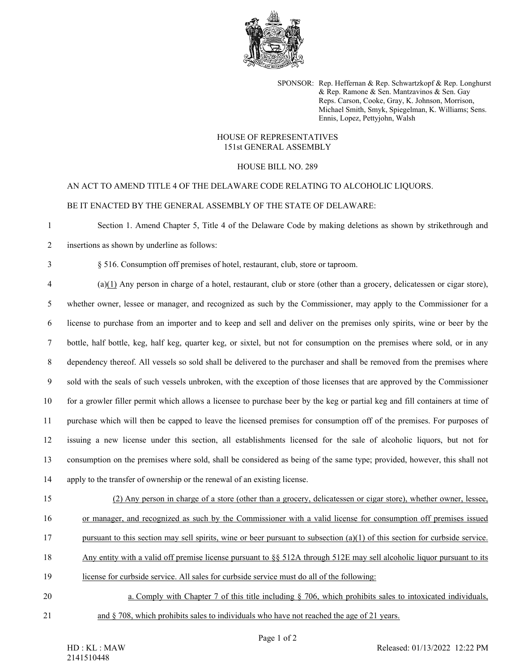

SPONSOR: Rep. Heffernan & Rep. Schwartzkopf & Rep. Longhurst & Rep. Ramone & Sen. Mantzavinos & Sen. Gay Reps. Carson, Cooke, Gray, K. Johnson, Morrison, Michael Smith, Smyk, Spiegelman, K. Williams; Sens. Ennis, Lopez, Pettyjohn, Walsh

## HOUSE OF REPRESENTATIVES 151st GENERAL ASSEMBLY

HOUSE BILL NO. 289

AN ACT TO AMEND TITLE 4 OF THE DELAWARE CODE RELATING TO ALCOHOLIC LIQUORS. BE IT ENACTED BY THE GENERAL ASSEMBLY OF THE STATE OF DELAWARE:

1 Section 1. Amend Chapter 5, Title 4 of the Delaware Code by making deletions as shown by strikethrough and

2 insertions as shown by underline as follows:

3 § 516. Consumption off premises of hotel, restaurant, club, store or taproom.

4 (a)(1) Any person in charge of a hotel, restaurant, club or store (other than a grocery, delicatessen or cigar store), 5 whether owner, lessee or manager, and recognized as such by the Commissioner, may apply to the Commissioner for a 6 license to purchase from an importer and to keep and sell and deliver on the premises only spirits, wine or beer by the 7 bottle, half bottle, keg, half keg, quarter keg, or sixtel, but not for consumption on the premises where sold, or in any 8 dependency thereof. All vessels so sold shall be delivered to the purchaser and shall be removed from the premises where 9 sold with the seals of such vessels unbroken, with the exception of those licenses that are approved by the Commissioner 10 for a growler filler permit which allows a licensee to purchase beer by the keg or partial keg and fill containers at time of 11 purchase which will then be capped to leave the licensed premises for consumption off of the premises. For purposes of 12 issuing a new license under this section, all establishments licensed for the sale of alcoholic liquors, but not for 13 consumption on the premises where sold, shall be considered as being of the same type; provided, however, this shall not 14 apply to the transfer of ownership or the renewal of an existing license.

15 (2) Any person in charge of a store (other than a grocery, delicatessen or cigar store), whether owner, lessee, 16 or manager, and recognized as such by the Commissioner with a valid license for consumption off premises issued 17 pursuant to this section may sell spirits, wine or beer pursuant to subsection  $(a)(1)$  of this section for curbside service. 18 Any entity with a valid off premise license pursuant to §§ 512A through 512E may sell alcoholic liquor pursuant to its

- 19 license for curbside service. All sales for curbside service must do all of the following:
- 20 a. Comply with Chapter 7 of this title including § 706, which prohibits sales to intoxicated individuals, 21 and § 708, which prohibits sales to individuals who have not reached the age of 21 years.